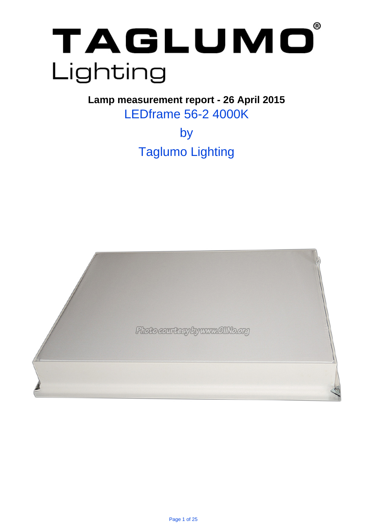

. **Lamp measurement report - 26 April 2015** LEDframe 56-2 4000K

> by Taglumo Lighting

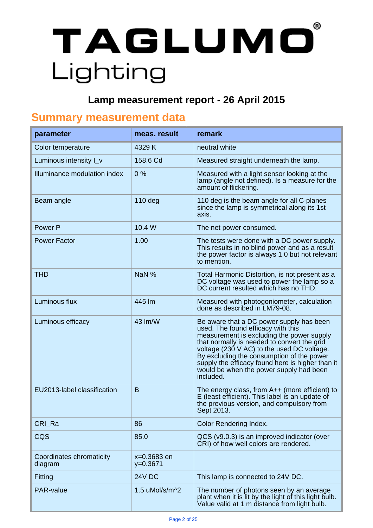# $^\circledR$ TAGLUMO Lighting

### . **Lamp measurement report - 26 April 2015**

### . **Summary measurement data**

| parameter                           | meas. result              | remark                                                                                                                                                                                                                                                                                                                                                                            |
|-------------------------------------|---------------------------|-----------------------------------------------------------------------------------------------------------------------------------------------------------------------------------------------------------------------------------------------------------------------------------------------------------------------------------------------------------------------------------|
| Color temperature                   | 4329 K                    | neutral white                                                                                                                                                                                                                                                                                                                                                                     |
| Luminous intensity I_v              | 158.6 Cd                  | Measured straight underneath the lamp.                                                                                                                                                                                                                                                                                                                                            |
| Illuminance modulation index        | 0%                        | Measured with a light sensor looking at the<br>lamp (angle not defined). Is a measure for the<br>amount of flickering.                                                                                                                                                                                                                                                            |
| Beam angle                          | $110$ deg                 | 110 deg is the beam angle for all C-planes<br>since the lamp is symmetrical along its 1st<br>axis.                                                                                                                                                                                                                                                                                |
| Power P                             | 10.4 W                    | The net power consumed.                                                                                                                                                                                                                                                                                                                                                           |
| <b>Power Factor</b>                 | 1.00                      | The tests were done with a DC power supply.<br>This results in no blind power and as a result<br>the power factor is always 1.0 but not relevant<br>to mention.                                                                                                                                                                                                                   |
| <b>THD</b>                          | NaN %                     | Total Harmonic Distortion, is not present as a<br>DC voltage was used to power the lamp so a<br>DC current resulted which has no THD.                                                                                                                                                                                                                                             |
| Luminous flux                       | 445 lm                    | Measured with photogoniometer, calculation<br>done as described in LM79-08.                                                                                                                                                                                                                                                                                                       |
| Luminous efficacy                   | 43 lm/W                   | Be aware that a DC power supply has been<br>used. The found efficacy with this<br>measurement is excluding the power supply<br>that normally is needed to convert the grid<br>voltage (230 V AC) to the used DC voltage.<br>By excluding the consumption of the power<br>supply the efficacy found here is higher than it<br>would be when the power supply had been<br>included. |
| EU2013-label classification         | B                         | The energy class, from $A++$ (more efficient) to<br>E (least efficient). This label is an update of<br>the previous version, and compulsory from<br>Sept 2013.                                                                                                                                                                                                                    |
| CRI_Ra                              | 86                        | <b>Color Rendering Index.</b>                                                                                                                                                                                                                                                                                                                                                     |
| CQS                                 | 85.0                      | QCS (v9.0.3) is an improved indicator (over<br>CRI) of how well colors are rendered.                                                                                                                                                                                                                                                                                              |
| Coordinates chromaticity<br>diagram | x=0.3683 en<br>$y=0.3671$ |                                                                                                                                                                                                                                                                                                                                                                                   |
| Fitting                             | 24V DC                    | This lamp is connected to 24V DC.                                                                                                                                                                                                                                                                                                                                                 |
| <b>PAR-value</b>                    | 1.5 uMol/s/m^2            | The number of photons seen by an average<br>plant when it is lit by the light of this light bulb.<br>Value valid at 1 m distance from light bulb.                                                                                                                                                                                                                                 |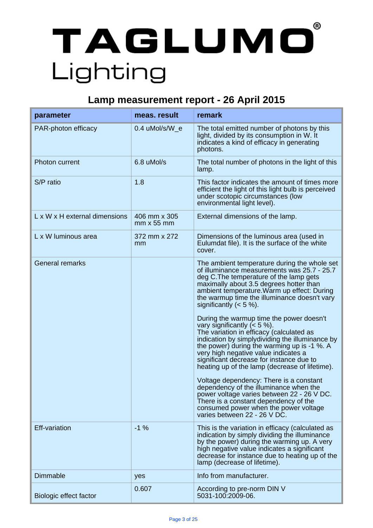# $^{\circ}$ TAGLUMO Lighting

### . **Lamp measurement report - 26 April 2015**

| parameter                     | meas. result                         | remark                                                                                                                                                                                                                                                                                                                                                                                                                                                                                                                                                                                                                                                                                                                                                                                                                                                                                                                               |
|-------------------------------|--------------------------------------|--------------------------------------------------------------------------------------------------------------------------------------------------------------------------------------------------------------------------------------------------------------------------------------------------------------------------------------------------------------------------------------------------------------------------------------------------------------------------------------------------------------------------------------------------------------------------------------------------------------------------------------------------------------------------------------------------------------------------------------------------------------------------------------------------------------------------------------------------------------------------------------------------------------------------------------|
| PAR-photon efficacy           | 0.4 uMol/s/W e                       | The total emitted number of photons by this<br>light, divided by its consumption in W. It<br>indicates a kind of efficacy in generating<br>photons.                                                                                                                                                                                                                                                                                                                                                                                                                                                                                                                                                                                                                                                                                                                                                                                  |
| Photon current                | 6.8 uMol/s                           | The total number of photons in the light of this<br>lamp.                                                                                                                                                                                                                                                                                                                                                                                                                                                                                                                                                                                                                                                                                                                                                                                                                                                                            |
| S/P ratio                     | 1.8                                  | This factor indicates the amount of times more<br>efficient the light of this light bulb is perceived<br>under scotopic circumstances (low<br>environmental light level).                                                                                                                                                                                                                                                                                                                                                                                                                                                                                                                                                                                                                                                                                                                                                            |
| L x W x H external dimensions | 406 mm x 305<br>$mm \times 55 \, mm$ | External dimensions of the lamp.                                                                                                                                                                                                                                                                                                                                                                                                                                                                                                                                                                                                                                                                                                                                                                                                                                                                                                     |
| L x W luminous area           | 372 mm x 272<br>mm                   | Dimensions of the luminous area (used in<br>Eulumdat file). It is the surface of the white<br>cover.                                                                                                                                                                                                                                                                                                                                                                                                                                                                                                                                                                                                                                                                                                                                                                                                                                 |
| <b>General remarks</b>        |                                      | The ambient temperature during the whole set<br>of illuminance measurements was 25.7 - 25.7<br>deg C. The temperature of the lamp gets<br>maximally about 3.5 degrees hotter than<br>ambient temperature. Warm up effect: During<br>the warmup time the illuminance doesn't vary<br>significantly $(< 5 %)$ .<br>During the warmup time the power doesn't<br>vary significantly $(< 5 %)$ .<br>The variation in efficacy (calculated as<br>indication by simplydividing the illuminance by<br>the power) during the warming up is -1 %. A<br>very high negative value indicates a<br>significant decrease for instance due to<br>heating up of the lamp (decrease of lifetime).<br>Voltage dependency: There is a constant<br>dependency of the illuminance when the<br>power voltage varies between 22 - 26 V DC.<br>There is a constant dependency of the<br>consumed power when the power voltage<br>varies between 22 - 26 V DC. |
| <b>Eff-variation</b>          | $-1%$                                | This is the variation in efficacy (calculated as<br>indication by simply dividing the illuminance<br>by the power) during the warming up. A very<br>high negative value indicates a significant<br>decrease for instance due to heating up of the<br>lamp (decrease of lifetime).                                                                                                                                                                                                                                                                                                                                                                                                                                                                                                                                                                                                                                                    |
| Dimmable                      | yes                                  | Info from manufacturer.                                                                                                                                                                                                                                                                                                                                                                                                                                                                                                                                                                                                                                                                                                                                                                                                                                                                                                              |
| Biologic effect factor        | 0.607                                | According to pre-norm DIN V<br>5031-100:2009-06.                                                                                                                                                                                                                                                                                                                                                                                                                                                                                                                                                                                                                                                                                                                                                                                                                                                                                     |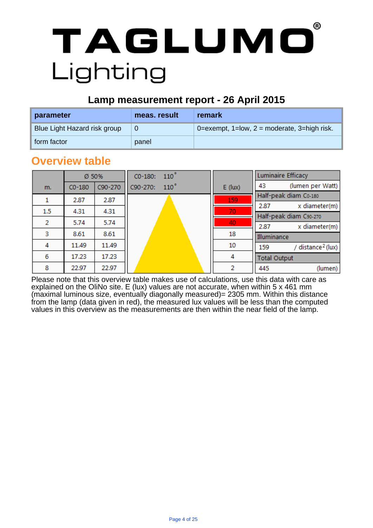#### **Lamp measurement report - 26 April 2015**

| parameter                    | meas, result | remark                                         |
|------------------------------|--------------|------------------------------------------------|
| Blue Light Hazard risk group | 0            | $0$ =exempt, 1=low, 2 = moderate, 3=high risk. |
| form factor                  | panel        |                                                |

.

### **Overview table**

|     | Ø 50%    |         | $CO-180: 110^{\circ}$ |                | <b>Luminaire Efficacy</b>            |
|-----|----------|---------|-----------------------|----------------|--------------------------------------|
| m.  | $CO-180$ | C90-270 | 110°<br>C90-270:      | $E$ (lux)      | (lumen per Watt)<br>43               |
|     | 2.87     | 2.87    |                       | 159            | Half-peak diam Co-180                |
|     |          |         |                       |                | x diameter(m)<br>2.87                |
| 1.5 | 4.31     | 4.31    |                       | 70             | Half-peak diam C90-270               |
| 2   | 5.74     | 5.74    |                       | 40             | 2.87<br>x diameter(m)                |
| з   | 8.61     | 8.61    |                       | 18             | Illuminance                          |
| 4   | 11.49    | 11.49   |                       | 10             | / distance <sup>2</sup> (lux)<br>159 |
| 6   | 17.23    | 17.23   |                       | 4              | <b>Total Output</b>                  |
| 8   | 22.97    | 22.97   |                       | $\overline{2}$ | 445<br>(lumen)                       |

Please note that this overview table makes use of calculations, use this data with care as explained on the OliNo site. E (lux) values are not accurate, when within 5 x 461 mm (maximal luminous size, eventually diagonally measured)= 2305 mm. Within this distance from the lamp (data given in red), the measured lux values will be less than the computed values in this overview as the measurements are then within the near field of the lamp.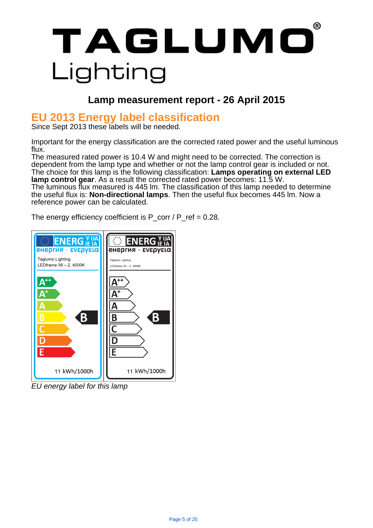### . **Lamp measurement report - 26 April 2015**

### **EU 2013 Energy label classification**

Since Sept 2013 these labels will be needed.

Important for the energy classification are the corrected rated power and the useful luminous flux.

The measured rated power is 10.4 W and might need to be corrected. The correction is dependent from the lamp type and whether or not the lamp control gear is included or not. The choice for this lamp is the following classification: **Lamps operating on external LED lamp control gear**. As a result the corrected rated power becomes: 11.5 W. The luminous flux measured is 445 lm. The classification of this lamp needed to determine the useful flux is: **Non-directional lamps**. Then the useful flux becomes 445 lm. Now a reference power can be calculated.

The energy efficiency coefficient is  $P_{corr}$  /  $P_{ref}$  = 0.28.



EU energy label for this lamp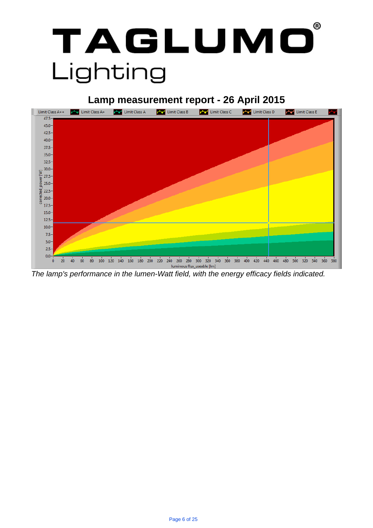

### . **Lamp measurement report - 26 April 2015**



The lamp's performance in the lumen-Watt field, with the energy efficacy fields indicated.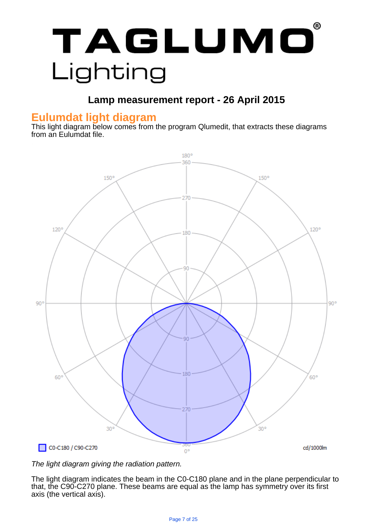

### **Lamp measurement report - 26 April 2015**

### **Eulumdat light diagram**

This light diagram below comes from the program Qlumedit, that extracts these diagrams from an Eulumdat file.



#### The light diagram giving the radiation pattern.

The light diagram indicates the beam in the C0-C180 plane and in the plane perpendicular to that, the C90-C270 plane. These beams are equal as the lamp has symmetry over its first axis (the vertical axis).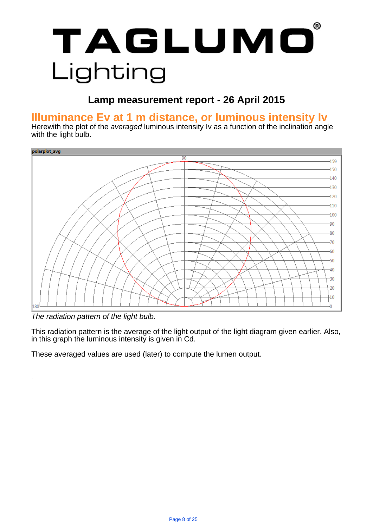### . **Lamp measurement report - 26 April 2015**

### . **Illuminance Ev at 1 m distance, or luminous intensity Iv**

Herewith the plot of the averaged luminous intensity Iv as a function of the inclination angle with the light bulb.



The radiation pattern of the light bulb.

This radiation pattern is the average of the light output of the light diagram given earlier. Also, in this graph the luminous intensity is given in Cd.

These averaged values are used (later) to compute the lumen output.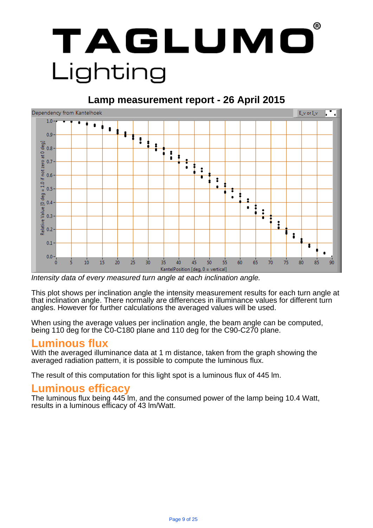#### **Lamp measurement report - 26 April 2015**



Intensity data of every measured turn angle at each inclination angle.

This plot shows per inclination angle the intensity measurement results for each turn angle at that inclination angle. There normally are differences in illuminance values for different turn angles. However for further calculations the averaged values will be used.

When using the average values per inclination angle, the beam angle can be computed, being 110 deg for the C0-C180 plane and 110 deg for the C90-C270 plane.

#### **Luminous flux**

With the averaged illuminance data at 1 m distance, taken from the graph showing the averaged radiation pattern, it is possible to compute the luminous flux.

The result of this computation for this light spot is a luminous flux of 445 lm.

#### **Luminous efficacy**

The luminous flux being 445 lm, and the consumed power of the lamp being 10.4 Watt, results in a luminous efficacy of 43 lm/Watt.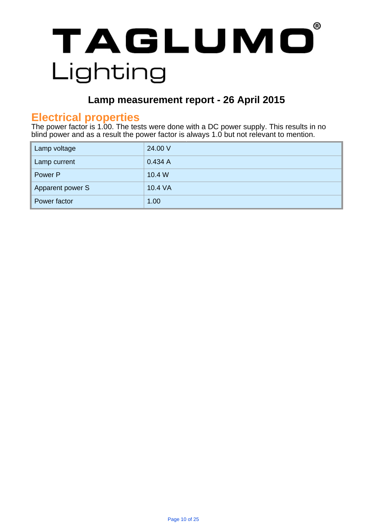

### . **Lamp measurement report - 26 April 2015**

### **Electrical properties**

The power factor is 1.00. The tests were done with a DC power supply. This results in no blind power and as a result the power factor is always 1.0 but not relevant to mention.

| Lamp voltage     | 24.00 V |
|------------------|---------|
| Lamp current     | 0.434A  |
| Power P          | 10.4 W  |
| Apparent power S | 10.4 VA |
| Power factor     | 1.00    |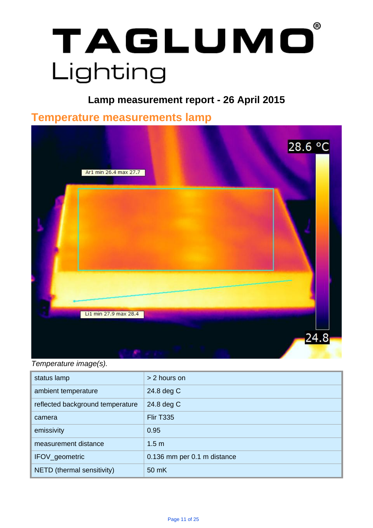### . **Lamp measurement report - 26 April 2015**

.

### . **Temperature measurements lamp**



Temperature image(s).

| status lamp                      | > 2 hours on                |
|----------------------------------|-----------------------------|
| ambient temperature              | 24.8 deg C                  |
| reflected background temperature | 24.8 deg C                  |
| camera                           | <b>Flir T335</b>            |
| emissivity                       | 0.95                        |
| measurement distance             | 1.5 <sub>m</sub>            |
| IFOV_geometric                   | 0.136 mm per 0.1 m distance |
| NETD (thermal sensitivity)       | 50 mK                       |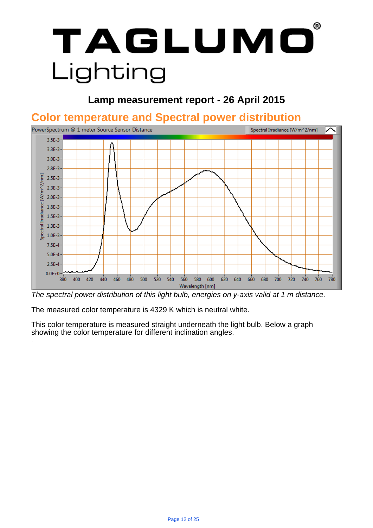### **Lamp measurement report - 26 April 2015**

### . **Color temperature and Spectral power distribution**



The spectral power distribution of this light bulb, energies on y-axis valid at 1 m distance.

The measured color temperature is 4329 K which is neutral white.

This color temperature is measured straight underneath the light bulb. Below a graph showing the color temperature for different inclination angles.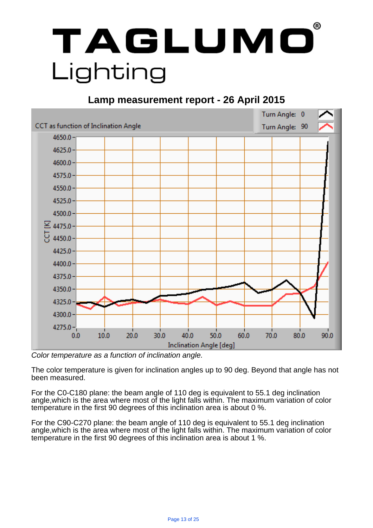### **Lamp measurement report - 26 April 2015**



Color temperature as a function of inclination angle.

The color temperature is given for inclination angles up to 90 deg. Beyond that angle has not been measured.

For the C0-C180 plane: the beam angle of 110 deg is equivalent to 55.1 deg inclination angle,which is the area where most of the light falls within. The maximum variation of color temperature in the first 90 degrees of this inclination area is about 0 %.

For the C90-C270 plane: the beam angle of 110 deg is equivalent to 55.1 deg inclination angle,which is the area where most of the light falls within. The maximum variation of color temperature in the first 90 degrees of this inclination area is about 1 %.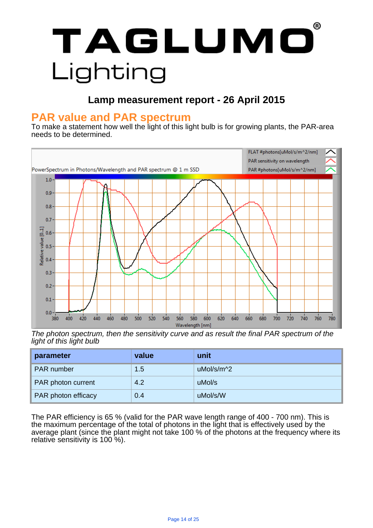### **Lamp measurement report - 26 April 2015**

### . **PAR value and PAR spectrum**

To make a statement how well the light of this light bulb is for growing plants, the PAR-area needs to be determined.



The photon spectrum, then the sensitivity curve and as result the final PAR spectrum of the light of this light bulb

| parameter           | value | unit       |
|---------------------|-------|------------|
| PAR number          | 1.5   | uMol/s/m^2 |
| PAR photon current  | 4.2   | uMol/s     |
| PAR photon efficacy | 0.4   | uMol/s/W   |

The PAR efficiency is 65 % (valid for the PAR wave length range of 400 - 700 nm). This is the maximum percentage of the total of photons in the light that is effectively used by the average plant (since the plant might not take 100 % of the photons at the frequency where its relative sensitivity is 100 %).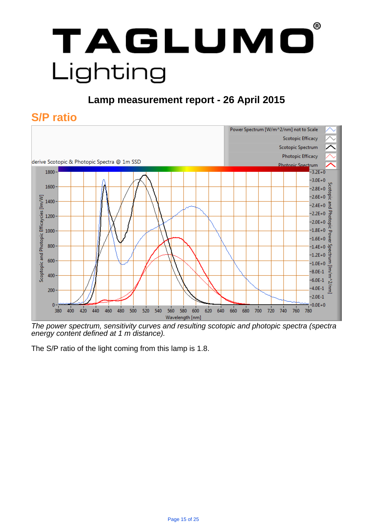### **Lamp measurement report - 26 April 2015**

### **S/P ratio**



The power spectrum, sensitivity curves and resulting scotopic and photopic spectra (spectra energy content defined at 1 m distance).

The S/P ratio of the light coming from this lamp is 1.8.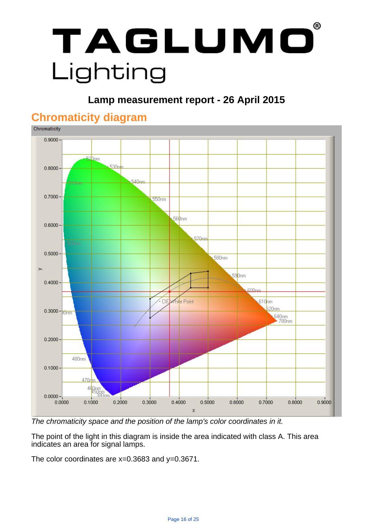

### . **Lamp measurement report - 26 April 2015**



### **Chromaticity diagram**

The chromaticity space and the position of the lamp's color coordinates in it.

The point of the light in this diagram is inside the area indicated with class A. This area indicates an area for signal lamps.

The color coordinates are  $x=0.3683$  and  $y=0.3671$ .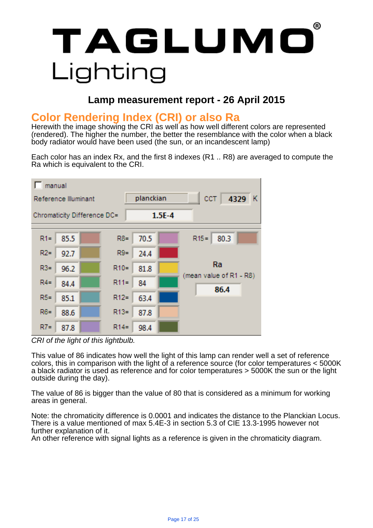### **Lamp measurement report - 26 April 2015**

### **Color Rendering Index (CRI) or also Ra**

Herewith the image showing the CRI as well as how well different colors are represented (rendered). The higher the number, the better the resemblance with the color when a black body radiator would have been used (the sun, or an incandescent lamp)

Each color has an index Rx, and the first 8 indexes (R1 .. R8) are averaged to compute the Ra which is equivalent to the CRI.



CRI of the light of this lightbulb.

This value of 86 indicates how well the light of this lamp can render well a set of reference colors, this in comparison with the light of a reference source (for color temperatures < 5000K a black radiator is used as reference and for color temperatures > 5000K the sun or the light outside during the day).

The value of 86 is bigger than the value of 80 that is considered as a minimum for working areas in general.

Note: the chromaticity difference is 0.0001 and indicates the distance to the Planckian Locus. There is a value mentioned of max 5.4E-3 in section 5.3 of CIE 13.3-1995 however not further explanation of it.

An other reference with signal lights as a reference is given in the chromaticity diagram.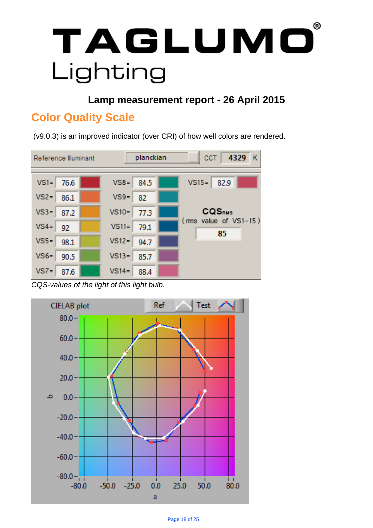**Lamp measurement report - 26 April 2015**

### **Color Quality Scale**

(v9.0.3) is an improved indicator (over CRI) of how well colors are rendered.



CQS-values of the light of this light bulb.

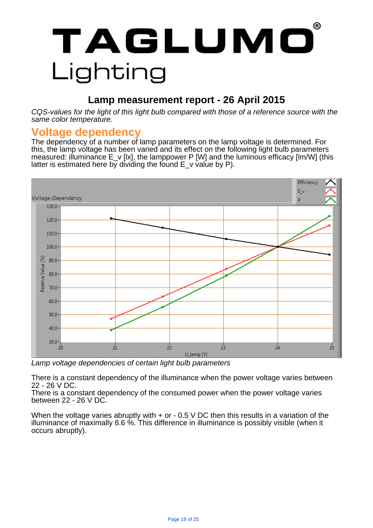### **Lamp measurement report - 26 April 2015**

CQS-values for the light of this light bulb compared with those of a reference source with the same color temperature.

#### **Voltage dependency**

The dependency of a number of lamp parameters on the lamp voltage is determined. For this, the lamp voltage has been varied and its effect on the following light bulb parameters measured: illuminance E\_v [lx], the lamppower P [W] and the luminous efficacy [lm/W] (this latter is estimated here by dividing the found  $E$  v value by P).



Lamp voltage dependencies of certain light bulb parameters

There is a constant dependency of the illuminance when the power voltage varies between 22 - 26 V DC.

There is a constant dependency of the consumed power when the power voltage varies between 22 - 26 V DC.

When the voltage varies abruptly with  $+$  or  $-$  0.5 V DC then this results in a variation of the illuminance of maximally 8.6 %. This difference in illuminance is possibly visible (when it occurs abruptly).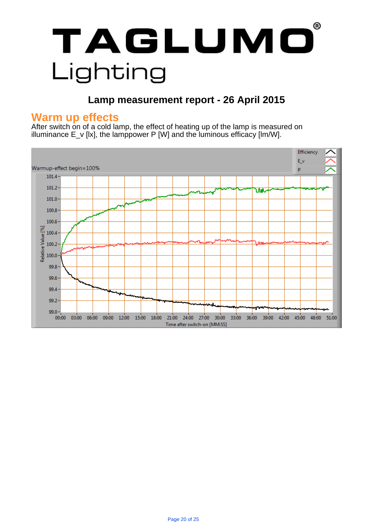### **Lamp measurement report - 26 April 2015**

### **Warm up effects**

After switch on of a cold lamp, the effect of heating up of the lamp is measured on illuminance  $E_v$  [lx], the lamppower P [W] and the luminous efficacy [lm/W].

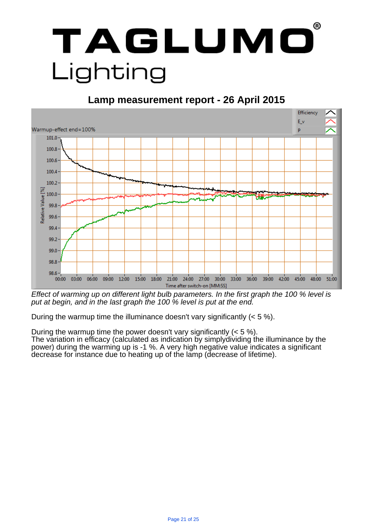

#### **Lamp measurement report - 26 April 2015**



Effect of warming up on different light bulb parameters. In the first graph the 100 % level is put at begin, and in the last graph the 100 % level is put at the end.

During the warmup time the illuminance doesn't vary significantly (< 5 %).

During the warmup time the power doesn't vary significantly  $(< 5\%$ ). The variation in efficacy (calculated as indication by simplydividing the illuminance by the power) during the warming up is -1 %. A very high negative value indicates a significant decrease for instance due to heating up of the lamp (decrease of lifetime).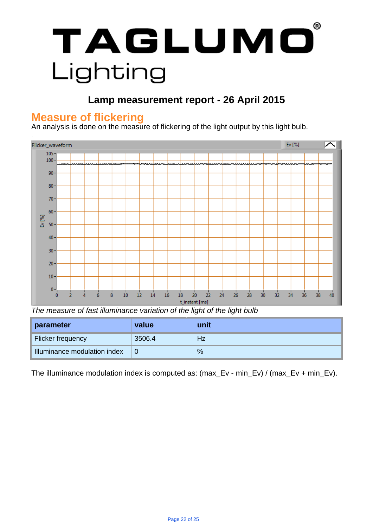### . **Lamp measurement report - 26 April 2015**

### **Measure of flickering**

An analysis is done on the measure of flickering of the light output by this light bulb.



The measure of fast illuminance variation of the light of the light bulb

| parameter                    | value  | unit |
|------------------------------|--------|------|
| Flicker frequency            | 3506.4 | Hz   |
| Illuminance modulation index | 0      | %    |

The illuminance modulation index is computed as: (max\_Ev - min\_Ev) / (max\_Ev + min\_Ev).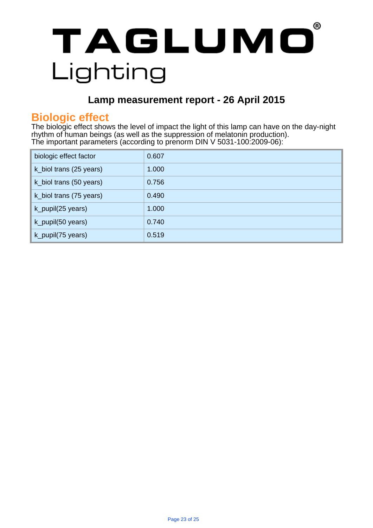### **Lamp measurement report - 26 April 2015**

### **Biologic effect**

The biologic effect shows the level of impact the light of this lamp can have on the day-night rhythm of human beings (as well as the suppression of melatonin production). The important parameters (according to prenorm DIN V 5031-100:2009-06):

| biologic effect factor  | 0.607 |
|-------------------------|-------|
| k_biol trans (25 years) | 1.000 |
| k_biol trans (50 years) | 0.756 |
| k_biol trans (75 years) | 0.490 |
| k_pupil(25 years)       | 1.000 |
| k_pupil(50 years)       | 0.740 |
| k_pupil(75 years)       | 0.519 |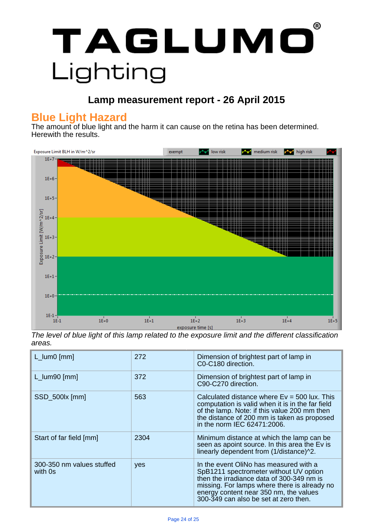

### . **Lamp measurement report - 26 April 2015**

### **Blue Light Hazard**

The amount of blue light and the harm it can cause on the retina has been determined. Herewith the results.



The level of blue light of this lamp related to the exposure limit and the different classification areas.

| $L_lum0$ [mm]                        | 272  | Dimension of brightest part of lamp in<br>C0-C180 direction.                                                                                                                                                                                                     |
|--------------------------------------|------|------------------------------------------------------------------------------------------------------------------------------------------------------------------------------------------------------------------------------------------------------------------|
| $L_lum90$ [mm]                       | 372  | Dimension of brightest part of lamp in<br>C90-C270 direction.                                                                                                                                                                                                    |
| SSD_500lx [mm]                       | 563  | Calculated distance where $Ev = 500$ lux. This<br>computation is valid when it is in the far field<br>of the lamp. Note: if this value 200 mm then<br>the distance of 200 mm is taken as proposed<br>in the norm IEC 62471:2006.                                 |
| Start of far field [mm]              | 2304 | Minimum distance at which the lamp can be<br>seen as apoint source. In this area the Ev is<br>linearly dependent from (1/distance)^2.                                                                                                                            |
| 300-350 nm values stuffed<br>with 0s | yes  | In the event OliNo has measured with a<br>SpB1211 spectrometer without UV option<br>then the irradiance data of 300-349 nm is<br>missing. For lamps where there is already no<br>energy content near 350 nm, the values<br>300-349 can also be set at zero then. |